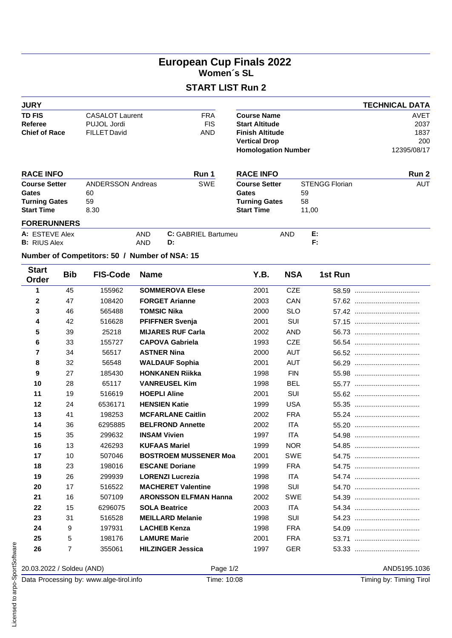## **European Cup Finals 2022 Women´s SL**

## **START LIST Run 2**

| <b>JURY</b>                            |                |                                               |             |                              | <b>TECHNICAL DATA</b>                          |            |                       |         |             |  |  |  |  |
|----------------------------------------|----------------|-----------------------------------------------|-------------|------------------------------|------------------------------------------------|------------|-----------------------|---------|-------------|--|--|--|--|
| <b>TD FIS</b>                          |                | <b>CASALOT Laurent</b>                        |             | <b>FRA</b>                   | <b>Course Name</b>                             |            |                       |         | <b>AVET</b> |  |  |  |  |
| <b>Referee</b><br><b>Chief of Race</b> |                | PUJOL Jordi                                   |             | <b>FIS</b>                   | <b>Start Altitude</b>                          |            |                       |         | 2037        |  |  |  |  |
|                                        |                | <b>FILLET David</b>                           |             | AND                          | <b>Finish Altitude</b><br><b>Vertical Drop</b> |            |                       |         | 1837<br>200 |  |  |  |  |
|                                        |                |                                               |             |                              | <b>Homologation Number</b>                     |            |                       |         | 12395/08/17 |  |  |  |  |
| <b>RACE INFO</b>                       |                |                                               |             | Run 1                        | <b>RACE INFO</b>                               |            | Run 2                 |         |             |  |  |  |  |
| <b>Course Setter</b>                   |                | ANDERSSON Andreas                             |             | SWE                          | <b>Course Setter</b>                           |            | <b>STENGG Florian</b> |         | <b>AUT</b>  |  |  |  |  |
| Gates                                  |                | 60                                            |             |                              | <b>Gates</b>                                   |            | 59                    |         |             |  |  |  |  |
| <b>Turning Gates</b>                   |                | 59                                            |             |                              | <b>Turning Gates</b>                           |            | 58                    |         |             |  |  |  |  |
| <b>Start Time</b>                      |                | 8.30                                          |             |                              | <b>Start Time</b>                              |            | 11,00                 |         |             |  |  |  |  |
| <b>FORERUNNERS</b>                     |                |                                               |             |                              |                                                |            |                       |         |             |  |  |  |  |
| A: ESTEVE Alex<br><b>B:</b> RIUS Alex  |                |                                               | AND<br>AND  | C: GABRIEL Bartumeu<br>D:    |                                                | AND        | Ε.<br>F:              |         |             |  |  |  |  |
|                                        |                | Number of Competitors: 50 / Number of NSA: 15 |             |                              |                                                |            |                       |         |             |  |  |  |  |
| <b>Start</b><br>Order                  | <b>Bib</b>     | <b>FIS-Code</b>                               | <b>Name</b> |                              | Y.B.                                           | <b>NSA</b> |                       | 1st Run |             |  |  |  |  |
| $\mathbf{1}$                           | 45             | 155962                                        |             | <b>SOMMEROVA Elese</b>       | 2001                                           | <b>CZE</b> |                       |         |             |  |  |  |  |
| $\mathbf{2}$                           | 47             | 108420                                        |             | <b>FORGET Arianne</b>        | 2003                                           | CAN        |                       |         |             |  |  |  |  |
| 3                                      | 46             | 565488                                        |             | <b>TOMSIC Nika</b>           | 2000                                           | <b>SLO</b> |                       |         |             |  |  |  |  |
| 4                                      | 42             | 516628                                        |             | <b>PFIFFNER Svenja</b>       | 2001                                           | SUI        |                       |         |             |  |  |  |  |
| 5                                      | 39             | 25218                                         |             | <b>MIJARES RUF Carla</b>     | 2002                                           | <b>AND</b> |                       |         |             |  |  |  |  |
| 6                                      | 33             | 155727                                        |             | <b>CAPOVA Gabriela</b>       | 1993                                           | <b>CZE</b> |                       |         |             |  |  |  |  |
| $\overline{7}$                         | 34             | 56517                                         |             | <b>ASTNER Nina</b>           | 2000                                           | <b>AUT</b> |                       |         |             |  |  |  |  |
| 8                                      | 32             | 56548                                         |             | <b>WALDAUF Sophia</b>        | 2001                                           | <b>AUT</b> |                       |         |             |  |  |  |  |
| 9                                      | 27             | 185430                                        |             | <b>HONKANEN Riikka</b>       | 1998                                           | <b>FIN</b> |                       |         |             |  |  |  |  |
| 10                                     | 28             | 65117                                         |             | <b>VANREUSEL Kim</b>         | 1998                                           | <b>BEL</b> |                       |         |             |  |  |  |  |
| 11                                     | 19             | 516619                                        |             | <b>HOEPLI Aline</b>          | 2001                                           | SUI        |                       |         |             |  |  |  |  |
| 12                                     | 24             | 6536171                                       |             | <b>HENSIEN Katie</b>         | 1999                                           | <b>USA</b> |                       |         |             |  |  |  |  |
| 13                                     | 41             | 198253                                        |             | <b>MCFARLANE Caitlin</b>     | 2002                                           | <b>FRA</b> |                       |         |             |  |  |  |  |
| 14                                     | 36             | 6295885                                       |             | <b>BELFROND Annette</b>      | 2002                                           | ITA        |                       |         |             |  |  |  |  |
| 15                                     | 35             | 299632                                        |             | <b>INSAM Vivien</b>          | 1997                                           | <b>ITA</b> |                       |         |             |  |  |  |  |
| 16                                     | 13             | 426293                                        |             | <b>KUFAAS Mariel</b>         | 1999                                           | <b>NOR</b> |                       |         |             |  |  |  |  |
| 17                                     | 10             | 507046                                        |             | <b>BOSTROEM MUSSENER Moa</b> | 2001                                           | SWE        |                       |         |             |  |  |  |  |
| 18                                     | 23             | 198016                                        |             | <b>ESCANE Doriane</b>        | 1999                                           | <b>FRA</b> |                       |         |             |  |  |  |  |
| 19                                     | 26             | 299939                                        |             | <b>LORENZI Lucrezia</b>      | 1998                                           | ITA        |                       |         |             |  |  |  |  |
| 20                                     | 17             | 516522                                        |             | <b>MACHERET Valentine</b>    | 1998                                           | SUI        |                       |         |             |  |  |  |  |
| 21                                     | 16             | 507109                                        |             | <b>ARONSSON ELFMAN Hanna</b> | 2002                                           | SWE        |                       |         |             |  |  |  |  |
| 22                                     | 15             | 6296075                                       |             | <b>SOLA Beatrice</b>         | 2003                                           | ITA        |                       |         |             |  |  |  |  |
| 23                                     | 31             | 516528                                        |             | <b>MEILLARD Melanie</b>      | 1998                                           | SUI        |                       |         |             |  |  |  |  |
| 24                                     | 9              | 197931                                        |             | <b>LACHEB Kenza</b>          | 1998                                           | <b>FRA</b> |                       |         |             |  |  |  |  |
| 25                                     | 5              | 198176                                        |             | <b>LAMURE Marie</b>          | 2001                                           | <b>FRA</b> |                       |         |             |  |  |  |  |
| 26                                     | $\overline{7}$ | 355061                                        |             | <b>HILZINGER Jessica</b>     | 1997                                           | GER        |                       |         |             |  |  |  |  |

20.03.2022 / Soldeu (AND) Page 1/2 AND5195.1036

Data Processing by: www.alge-tirol.info Time: 10:08 Timing by: Timing Tirol  $\frac{18}{15}$  26 7 355061<br>  $\frac{18}{15}$  20.03.2022 / Soldeu (AND)<br>  $\frac{18}{15}$  Data Processing by: www.alge-tirol.ir<br>  $\frac{18}{15}$   $\frac{18}{15}$ <br>  $\frac{18}{15}$ <br>  $\frac{18}{15}$